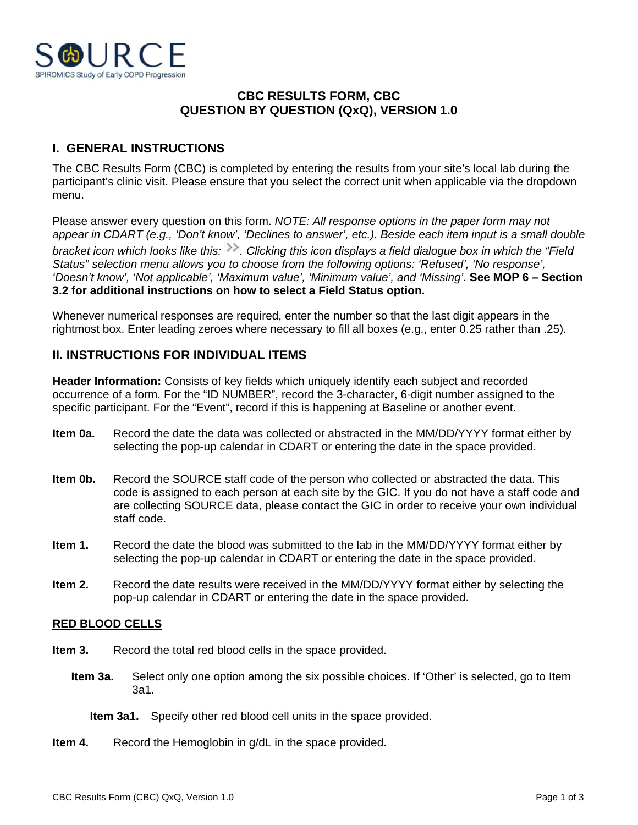

## **CBC RESULTS FORM, CBC QUESTION BY QUESTION (QxQ), VERSION 1.0**

# **I. GENERAL INSTRUCTIONS**

The CBC Results Form (CBC) is completed by entering the results from your site's local lab during the participant's clinic visit. Please ensure that you select the correct unit when applicable via the dropdown menu.

Please answer every question on this form. *NOTE: All response options in the paper form may not appear in CDART (e.g., 'Don't know', 'Declines to answer', etc.). Beside each item input is a small double bracket icon which looks like this: . Clicking this icon displays a field dialogue box in which the "Field Status" selection menu allows you to choose from the following options: 'Refused', 'No response', 'Doesn't know', 'Not applicable', 'Maximum value', 'Minimum value', and 'Missing'.* **See MOP 6 – Section 3.2 for additional instructions on how to select a Field Status option.**

Whenever numerical responses are required, enter the number so that the last digit appears in the rightmost box. Enter leading zeroes where necessary to fill all boxes (e.g., enter 0.25 rather than .25).

## **II. INSTRUCTIONS FOR INDIVIDUAL ITEMS**

**Header Information:** Consists of key fields which uniquely identify each subject and recorded occurrence of a form. For the "ID NUMBER", record the 3-character, 6-digit number assigned to the specific participant. For the "Event", record if this is happening at Baseline or another event.

- **Item 0a.** Record the date the data was collected or abstracted in the MM/DD/YYYY format either by selecting the pop-up calendar in CDART or entering the date in the space provided.
- **Item 0b.** Record the SOURCE staff code of the person who collected or abstracted the data. This code is assigned to each person at each site by the GIC. If you do not have a staff code and are collecting SOURCE data, please contact the GIC in order to receive your own individual staff code.
- **Item 1.** Record the date the blood was submitted to the lab in the MM/DD/YYYY format either by selecting the pop-up calendar in CDART or entering the date in the space provided.
- **Item 2.** Record the date results were received in the MM/DD/YYYY format either by selecting the pop-up calendar in CDART or entering the date in the space provided.

### **RED BLOOD CELLS**

- **Item 3.** Record the total red blood cells in the space provided.
	- **Item 3a.** Select only one option among the six possible choices. If 'Other' is selected, go to Item 3a1.
		- **Item 3a1.** Specify other red blood cell units in the space provided.
- **Item 4.** Record the Hemoglobin in g/dL in the space provided.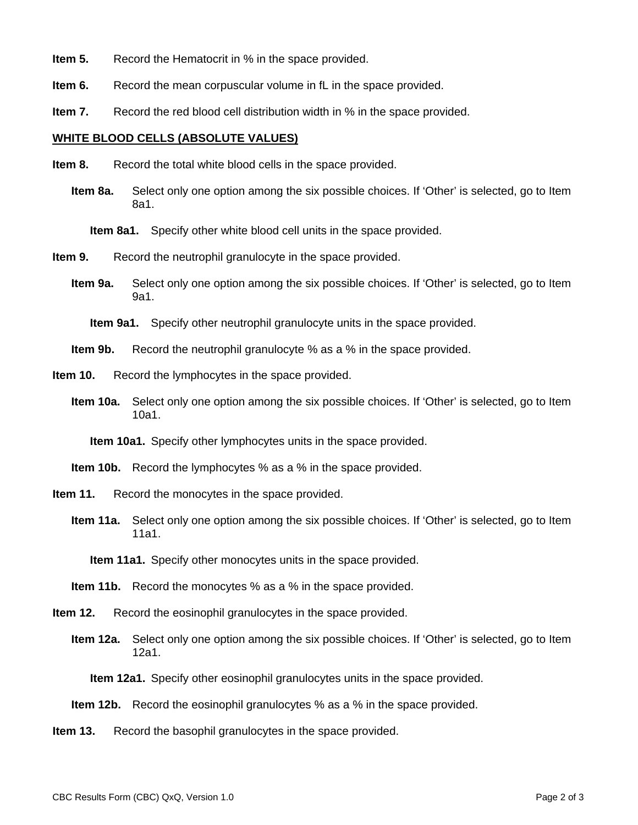- **Item 5.** Record the Hematocrit in % in the space provided.
- **Item 6.** Record the mean corpuscular volume in fL in the space provided.
- **Item 7.** Record the red blood cell distribution width in % in the space provided.

#### **WHITE BLOOD CELLS (ABSOLUTE VALUES)**

- **Item 8.** Record the total white blood cells in the space provided.
	- **Item 8a.** Select only one option among the six possible choices. If 'Other' is selected, go to Item 8a1.

**Item 8a1.** Specify other white blood cell units in the space provided.

- **Item 9.** Record the neutrophil granulocyte in the space provided.
	- **Item 9a.** Select only one option among the six possible choices. If 'Other' is selected, go to Item 9a1.

**Item 9a1.** Specify other neutrophil granulocyte units in the space provided.

- **Item 9b.** Record the neutrophil granulocyte % as a % in the space provided.
- **Item 10.** Record the lymphocytes in the space provided.
	- **Item 10a.** Select only one option among the six possible choices. If 'Other' is selected, go to Item 10a1.

**Item 10a1.** Specify other lymphocytes units in the space provided.

- **Item 10b.** Record the lymphocytes % as a % in the space provided.
- **Item 11.** Record the monocytes in the space provided.
	- **Item 11a.** Select only one option among the six possible choices. If 'Other' is selected, go to Item 11a1.

**Item 11a1.** Specify other monocytes units in the space provided.

- **Item 12.** Record the eosinophil granulocytes in the space provided.
	- **Item 12a.** Select only one option among the six possible choices. If 'Other' is selected, go to Item 12a1.

**Item 12a1.** Specify other eosinophil granulocytes units in the space provided.

- **Item 12b.** Record the eosinophil granulocytes % as a % in the space provided.
- **Item 13.** Record the basophil granulocytes in the space provided.

**Item 11b.** Record the monocytes % as a % in the space provided.